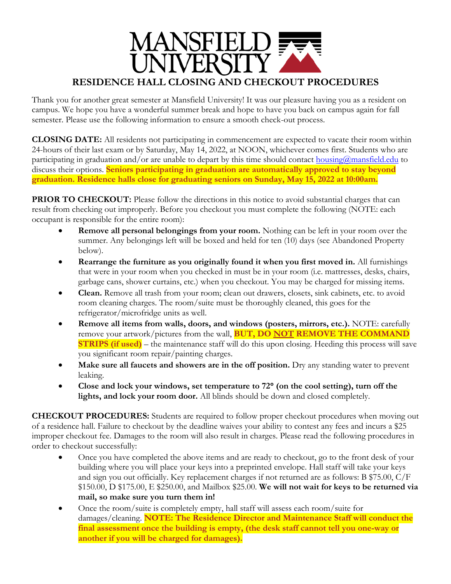

Thank you for another great semester at Mansfield University! It was our pleasure having you as a resident on campus. We hope you have a wonderful summer break and hope to have you back on campus again for fall semester. Please use the following information to ensure a smooth check-out process.

**CLOSING DATE:** All residents not participating in commencement are expected to vacate their room within 24-hours of their last exam or by Saturday, May 14, 2022, at NOON, whichever comes first. Students who are participating in graduation and/or are unable to depart by this time should contact [housing@mansfield.edu](mailto:housing@mansfield.edu) to discuss their options. **Seniors participating in graduation are automatically approved to stay beyond graduation. Residence halls close for graduating seniors on Sunday, May 15, 2022 at 10:00am.**

**PRIOR TO CHECKOUT:** Please follow the directions in this notice to avoid substantial charges that can result from checking out improperly. Before you checkout you must complete the following (NOTE: each occupant is responsible for the entire room):

- **Remove all personal belongings from your room.** Nothing can be left in your room over the summer. Any belongings left will be boxed and held for ten (10) days (see Abandoned Property below).
- **Rearrange the furniture as you originally found it when you first moved in.** All furnishings that were in your room when you checked in must be in your room (i.e. mattresses, desks, chairs, garbage cans, shower curtains, etc.) when you checkout. You may be charged for missing items.
- **Clean.** Remove all trash from your room; clean out drawers, closets, sink cabinets, etc. to avoid room cleaning charges. The room/suite must be thoroughly cleaned, this goes for the refrigerator/microfridge units as well.
- **Remove all items from walls, doors, and windows (posters, mirrors, etc.).** NOTE: carefully remove your artwork/pictures from the wall, **BUT, DO NOT REMOVE THE COMMAND STRIPS (if used)** – the maintenance staff will do this upon closing. Heeding this process will save you significant room repair/painting charges.
- Make sure all faucets and showers are in the off position. Dry any standing water to prevent leaking.
- **Close and lock your windows, set temperature to 72 (on the cool setting), turn off the lights, and lock your room door.** All blinds should be down and closed completely.

**CHECKOUT PROCEDURES:** Students are required to follow proper checkout procedures when moving out of a residence hall. Failure to checkout by the deadline waives your ability to contest any fees and incurs a \$25 improper checkout fee. Damages to the room will also result in charges. Please read the following procedures in order to checkout successfully:

- Once you have completed the above items and are ready to checkout, go to the front desk of your building where you will place your keys into a preprinted envelope. Hall staff will take your keys and sign you out officially. Key replacement charges if not returned are as follows: B \$75.00, C/F \$150.00, D \$175.00, E \$250.00, and Mailbox \$25.00. **We will not wait for keys to be returned via mail, so make sure you turn them in!**
- Once the room/suite is completely empty, hall staff will assess each room/suite for damages/cleaning. **NOTE: The Residence Director and Maintenance Staff will conduct the final assessment once the building is empty, (the desk staff cannot tell you one-way or another if you will be charged for damages).**